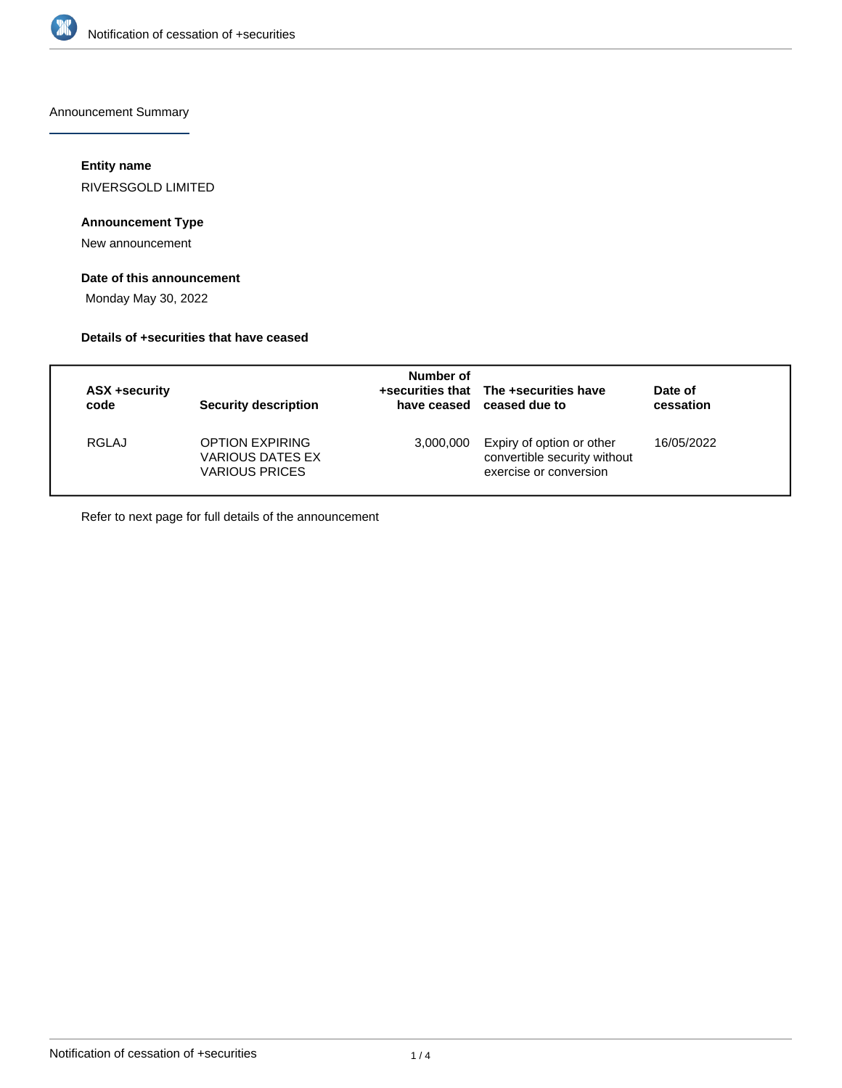

Announcement Summary

#### **Entity name**

RIVERSGOLD LIMITED

## **Announcement Type**

New announcement

## **Date of this announcement**

Monday May 30, 2022

#### **Details of +securities that have ceased**

| <b>ASX +security</b><br>code | Security description                                                | Number of<br>have ceased | +securities that The +securities have<br>ceased due to                              | Date of<br>cessation |
|------------------------------|---------------------------------------------------------------------|--------------------------|-------------------------------------------------------------------------------------|----------------------|
| RGLAJ                        | <b>OPTION EXPIRING</b><br>VARIOUS DATES EX<br><b>VARIOUS PRICES</b> | 3,000,000                | Expiry of option or other<br>convertible security without<br>exercise or conversion | 16/05/2022           |

Refer to next page for full details of the announcement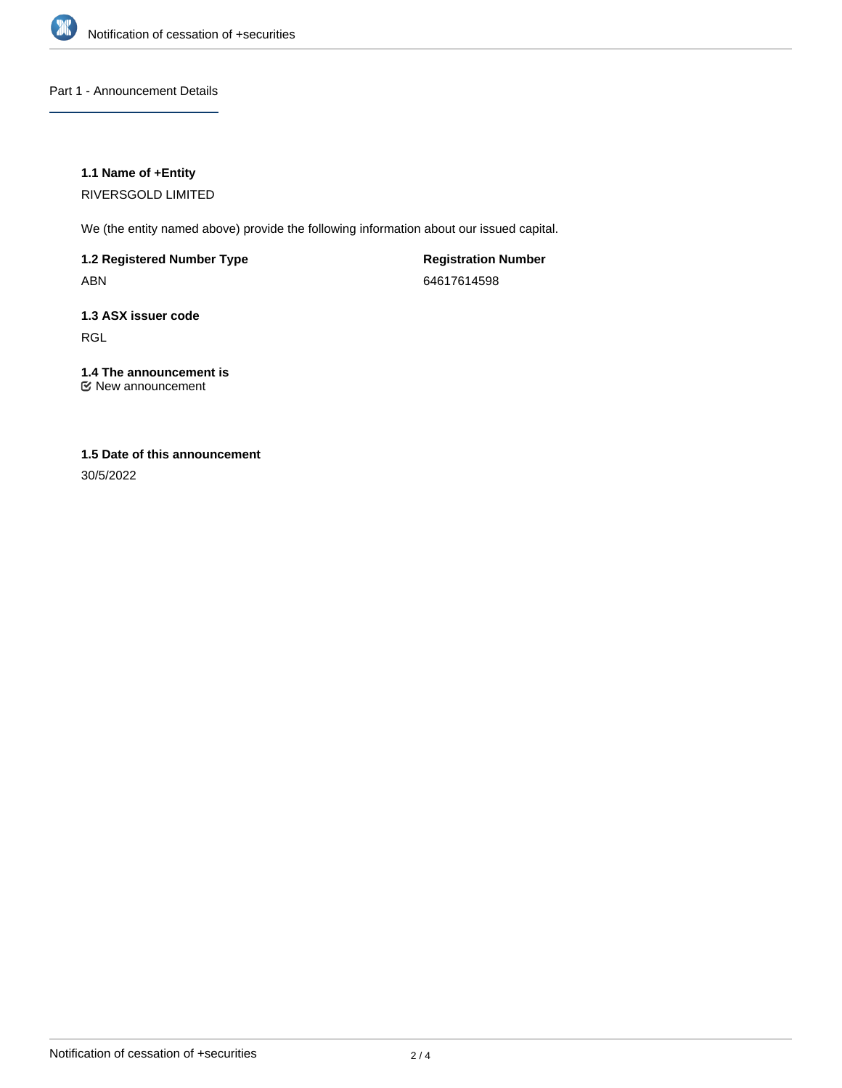

Part 1 - Announcement Details

#### **1.1 Name of +Entity**

RIVERSGOLD LIMITED

We (the entity named above) provide the following information about our issued capital.

**1.2 Registered Number Type** ABN

**Registration Number** 64617614598

**1.3 ASX issuer code** RGL

**1.4 The announcement is** New announcement

# **1.5 Date of this announcement**

30/5/2022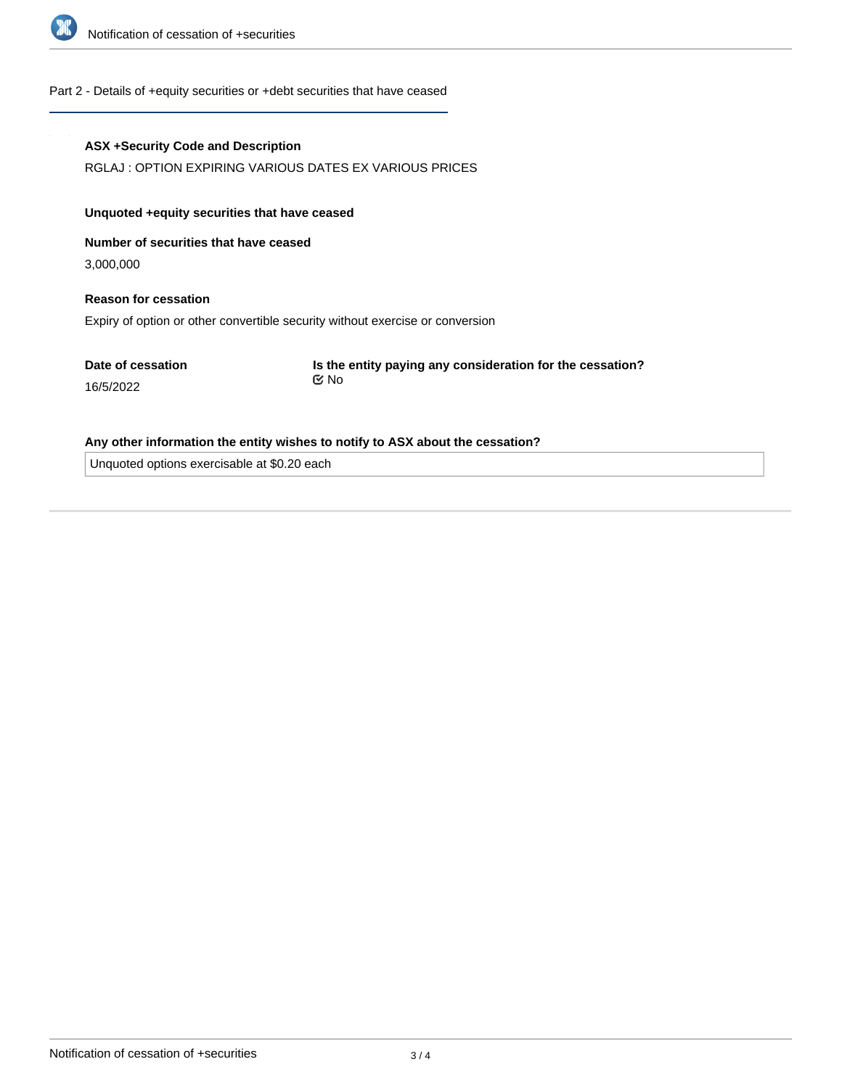

#### Part 2 - Details of +equity securities or +debt securities that have ceased

#### **ASX +Security Code and Description**

RGLAJ : OPTION EXPIRING VARIOUS DATES EX VARIOUS PRICES

#### **Unquoted +equity securities that have ceased**

**Number of securities that have ceased**

3,000,000

16/5/2022

## **Reason for cessation** Expiry of option or other convertible security without exercise or conversion

**Date of cessation**

**Is the entity paying any consideration for the cessation?** No

#### **Any other information the entity wishes to notify to ASX about the cessation?**

Unquoted options exercisable at \$0.20 each